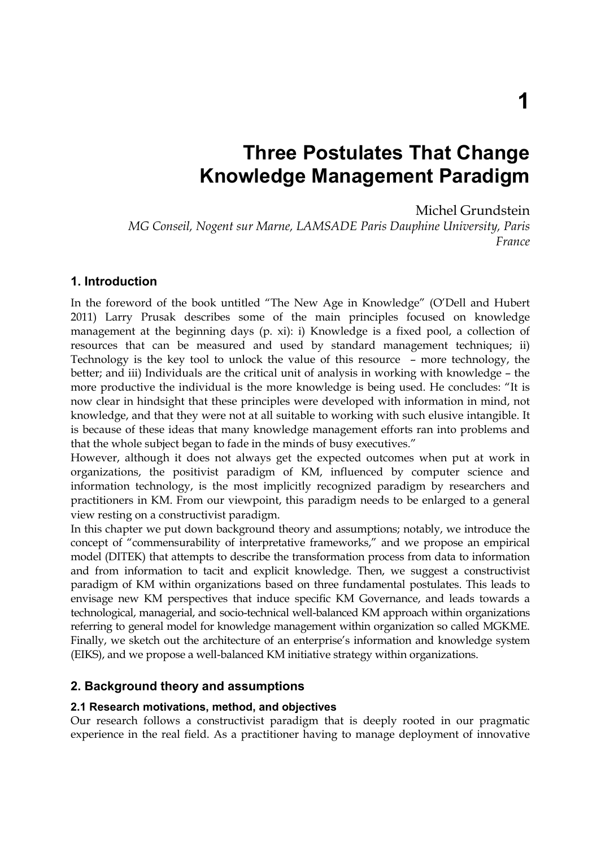# **Three Postulates That Change Knowledge Management Paradigm**

Michel Grundstein

*MG Conseil, Nogent sur Marne, LAMSADE Paris Dauphine University, Paris France* 

# **1. Introduction**

In the foreword of the book untitled "The New Age in Knowledge" (O'Dell and Hubert 2011) Larry Prusak describes some of the main principles focused on knowledge management at the beginning days (p. xi): i) Knowledge is a fixed pool, a collection of resources that can be measured and used by standard management techniques; ii) Technology is the key tool to unlock the value of this resource – more technology, the better; and iii) Individuals are the critical unit of analysis in working with knowledge – the more productive the individual is the more knowledge is being used. He concludes: "It is now clear in hindsight that these principles were developed with information in mind, not knowledge, and that they were not at all suitable to working with such elusive intangible. It is because of these ideas that many knowledge management efforts ran into problems and that the whole subject began to fade in the minds of busy executives."

However, although it does not always get the expected outcomes when put at work in organizations, the positivist paradigm of KM, influenced by computer science and information technology, is the most implicitly recognized paradigm by researchers and practitioners in KM. From our viewpoint, this paradigm needs to be enlarged to a general view resting on a constructivist paradigm.

In this chapter we put down background theory and assumptions; notably, we introduce the concept of "commensurability of interpretative frameworks," and we propose an empirical model (DITEK) that attempts to describe the transformation process from data to information and from information to tacit and explicit knowledge. Then, we suggest a constructivist paradigm of KM within organizations based on three fundamental postulates. This leads to envisage new KM perspectives that induce specific KM Governance, and leads towards a technological, managerial, and socio-technical well-balanced KM approach within organizations referring to general model for knowledge management within organization so called MGKME. Finally, we sketch out the architecture of an enterprise's information and knowledge system (EIKS), and we propose a well-balanced KM initiative strategy within organizations.

# **2. Background theory and assumptions**

## **2.1 Research motivations, method, and objectives**

Our research follows a constructivist paradigm that is deeply rooted in our pragmatic experience in the real field. As a practitioner having to manage deployment of innovative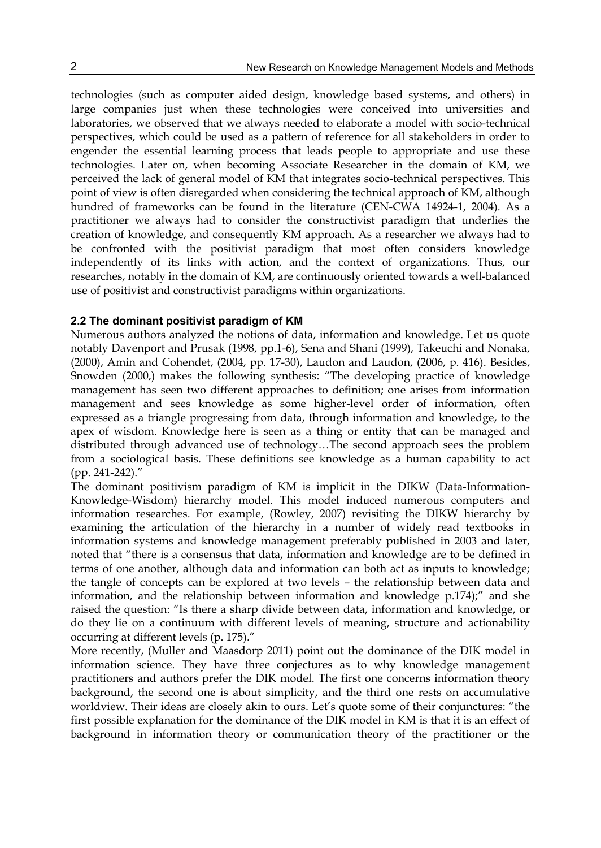technologies (such as computer aided design, knowledge based systems, and others) in large companies just when these technologies were conceived into universities and laboratories, we observed that we always needed to elaborate a model with socio-technical perspectives, which could be used as a pattern of reference for all stakeholders in order to engender the essential learning process that leads people to appropriate and use these technologies. Later on, when becoming Associate Researcher in the domain of KM, we perceived the lack of general model of KM that integrates socio-technical perspectives. This point of view is often disregarded when considering the technical approach of KM, although hundred of frameworks can be found in the literature (CEN-CWA 14924-1, 2004). As a practitioner we always had to consider the constructivist paradigm that underlies the creation of knowledge, and consequently KM approach. As a researcher we always had to be confronted with the positivist paradigm that most often considers knowledge independently of its links with action, and the context of organizations. Thus, our researches, notably in the domain of KM, are continuously oriented towards a well-balanced use of positivist and constructivist paradigms within organizations.

#### **2.2 The dominant positivist paradigm of KM**

Numerous authors analyzed the notions of data, information and knowledge. Let us quote notably Davenport and Prusak (1998, pp.1-6), Sena and Shani (1999), Takeuchi and Nonaka, (2000), Amin and Cohendet, (2004, pp. 17-30), Laudon and Laudon, (2006, p. 416). Besides, Snowden (2000,) makes the following synthesis: "The developing practice of knowledge management has seen two different approaches to definition; one arises from information management and sees knowledge as some higher-level order of information, often expressed as a triangle progressing from data, through information and knowledge, to the apex of wisdom. Knowledge here is seen as a thing or entity that can be managed and distributed through advanced use of technology…The second approach sees the problem from a sociological basis. These definitions see knowledge as a human capability to act (pp. 241-242)."

The dominant positivism paradigm of KM is implicit in the DIKW (Data-Information-Knowledge-Wisdom) hierarchy model. This model induced numerous computers and information researches. For example, (Rowley, 2007) revisiting the DIKW hierarchy by examining the articulation of the hierarchy in a number of widely read textbooks in information systems and knowledge management preferably published in 2003 and later, noted that "there is a consensus that data, information and knowledge are to be defined in terms of one another, although data and information can both act as inputs to knowledge; the tangle of concepts can be explored at two levels – the relationship between data and information, and the relationship between information and knowledge p.174);" and she raised the question: "Is there a sharp divide between data, information and knowledge, or do they lie on a continuum with different levels of meaning, structure and actionability occurring at different levels (p. 175)."

More recently, (Muller and Maasdorp 2011) point out the dominance of the DIK model in information science. They have three conjectures as to why knowledge management practitioners and authors prefer the DIK model. The first one concerns information theory background, the second one is about simplicity, and the third one rests on accumulative worldview. Their ideas are closely akin to ours. Let's quote some of their conjunctures: "the first possible explanation for the dominance of the DIK model in KM is that it is an effect of background in information theory or communication theory of the practitioner or the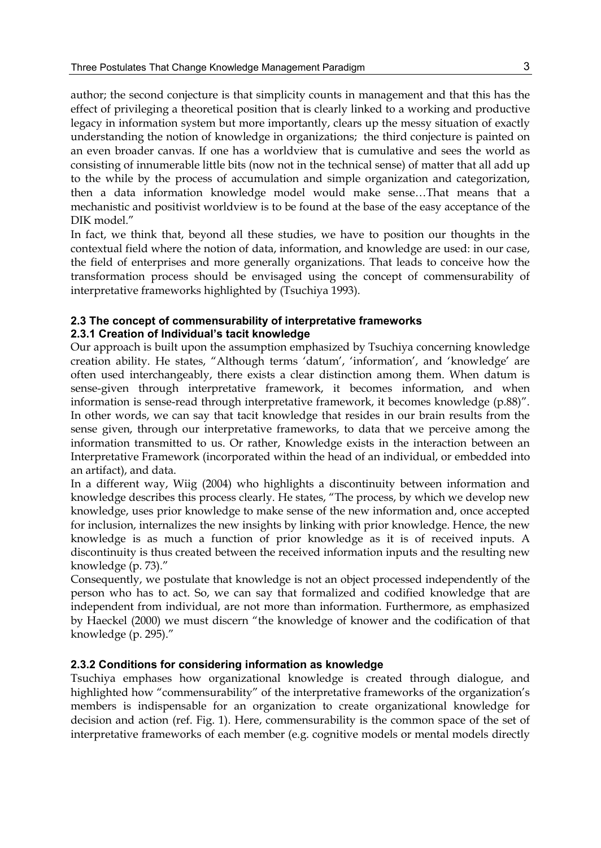author; the second conjecture is that simplicity counts in management and that this has the effect of privileging a theoretical position that is clearly linked to a working and productive legacy in information system but more importantly, clears up the messy situation of exactly understanding the notion of knowledge in organizations; the third conjecture is painted on an even broader canvas. If one has a worldview that is cumulative and sees the world as consisting of innumerable little bits (now not in the technical sense) of matter that all add up to the while by the process of accumulation and simple organization and categorization, then a data information knowledge model would make sense…That means that a mechanistic and positivist worldview is to be found at the base of the easy acceptance of the DIK model."

In fact, we think that, beyond all these studies, we have to position our thoughts in the contextual field where the notion of data, information, and knowledge are used: in our case, the field of enterprises and more generally organizations. That leads to conceive how the transformation process should be envisaged using the concept of commensurability of interpretative frameworks highlighted by (Tsuchiya 1993).

#### **2.3 The concept of commensurability of interpretative frameworks 2.3.1 Creation of Individual's tacit knowledge**

Our approach is built upon the assumption emphasized by Tsuchiya concerning knowledge creation ability. He states, "Although terms 'datum', 'information', and 'knowledge' are often used interchangeably, there exists a clear distinction among them. When datum is sense-given through interpretative framework, it becomes information, and when information is sense-read through interpretative framework, it becomes knowledge (p.88)". In other words, we can say that tacit knowledge that resides in our brain results from the sense given, through our interpretative frameworks, to data that we perceive among the information transmitted to us. Or rather, Knowledge exists in the interaction between an Interpretative Framework (incorporated within the head of an individual, or embedded into an artifact), and data.

In a different way, Wiig (2004) who highlights a discontinuity between information and knowledge describes this process clearly. He states, "The process, by which we develop new knowledge, uses prior knowledge to make sense of the new information and, once accepted for inclusion, internalizes the new insights by linking with prior knowledge. Hence, the new knowledge is as much a function of prior knowledge as it is of received inputs. A discontinuity is thus created between the received information inputs and the resulting new knowledge (p. 73)."

Consequently, we postulate that knowledge is not an object processed independently of the person who has to act. So, we can say that formalized and codified knowledge that are independent from individual, are not more than information. Furthermore, as emphasized by Haeckel (2000) we must discern "the knowledge of knower and the codification of that knowledge (p. 295)."

#### **2.3.2 Conditions for considering information as knowledge**

Tsuchiya emphases how organizational knowledge is created through dialogue, and highlighted how "commensurability" of the interpretative frameworks of the organization's members is indispensable for an organization to create organizational knowledge for decision and action (ref. Fig. 1). Here, commensurability is the common space of the set of interpretative frameworks of each member (e.g. cognitive models or mental models directly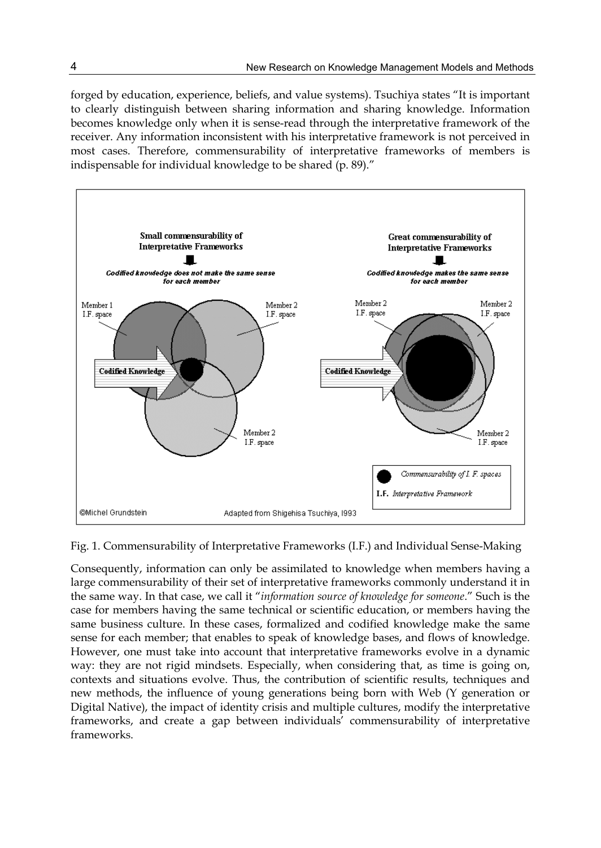forged by education, experience, beliefs, and value systems). Tsuchiya states "It is important to clearly distinguish between sharing information and sharing knowledge. Information becomes knowledge only when it is sense-read through the interpretative framework of the receiver. Any information inconsistent with his interpretative framework is not perceived in most cases. Therefore, commensurability of interpretative frameworks of members is indispensable for individual knowledge to be shared (p. 89)."



Fig. 1. Commensurability of Interpretative Frameworks (I.F.) and Individual Sense-Making

Consequently, information can only be assimilated to knowledge when members having a large commensurability of their set of interpretative frameworks commonly understand it in the same way. In that case, we call it "*information source of knowledge for someone*." Such is the case for members having the same technical or scientific education, or members having the same business culture. In these cases, formalized and codified knowledge make the same sense for each member; that enables to speak of knowledge bases, and flows of knowledge. However, one must take into account that interpretative frameworks evolve in a dynamic way: they are not rigid mindsets. Especially, when considering that, as time is going on, contexts and situations evolve. Thus, the contribution of scientific results, techniques and new methods, the influence of young generations being born with Web (Y generation or Digital Native), the impact of identity crisis and multiple cultures, modify the interpretative frameworks, and create a gap between individuals' commensurability of interpretative frameworks.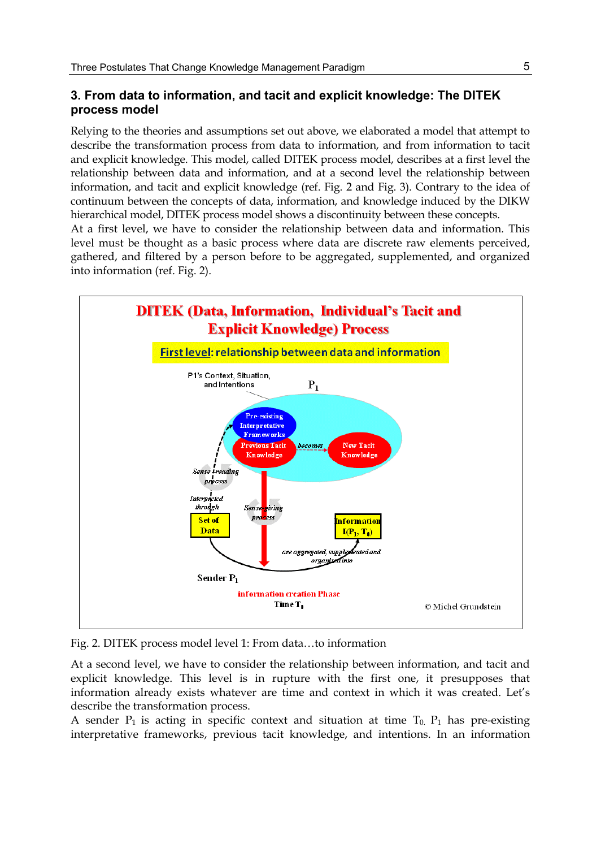## **3. From data to information, and tacit and explicit knowledge: The DITEK process model**

Relying to the theories and assumptions set out above, we elaborated a model that attempt to describe the transformation process from data to information, and from information to tacit and explicit knowledge. This model, called DITEK process model, describes at a first level the relationship between data and information, and at a second level the relationship between information, and tacit and explicit knowledge (ref. Fig. 2 and Fig. 3). Contrary to the idea of continuum between the concepts of data, information, and knowledge induced by the DIKW hierarchical model, DITEK process model shows a discontinuity between these concepts.

At a first level, we have to consider the relationship between data and information. This level must be thought as a basic process where data are discrete raw elements perceived, gathered, and filtered by a person before to be aggregated, supplemented, and organized into information (ref. Fig. 2).



Fig. 2. DITEK process model level 1: From data…to information

At a second level, we have to consider the relationship between information, and tacit and explicit knowledge. This level is in rupture with the first one, it presupposes that information already exists whatever are time and context in which it was created. Let's describe the transformation process.

A sender  $P_1$  is acting in specific context and situation at time  $T_0$ .  $P_1$  has pre-existing interpretative frameworks, previous tacit knowledge, and intentions. In an information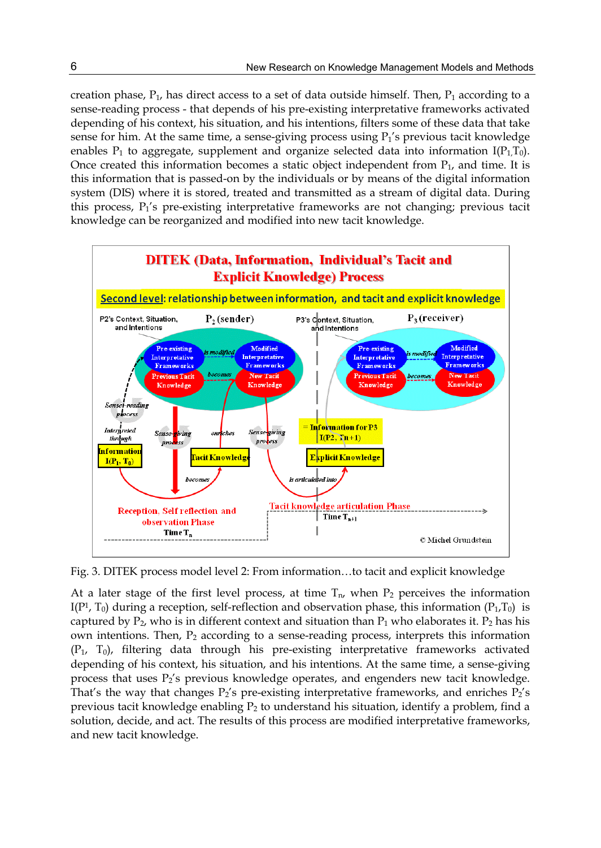creation phase,  $P_1$ , has direct access to a set of data outside himself. Then,  $P_1$  according to a sense-reading process - that depends of his pre-existing interpretative frameworks activated depending of his context, his situation, and his intentions, filters some of these data that take sense for him. At the same time, a sense-giving process using  $P_1$ 's previous tacit knowledge enables  $P_1$  to aggregate, supplement and organize selected data into information  $I(P_1,T_0)$ . Once created this information becomes a static object independent from  $P_1$ , and time. It is this information that is passed-on by the individuals or by means of the digital information system (DIS) where it is stored, treated and transmitted as a stream of digital data. During this process,  $P_1$ 's pre-existing interpretative frameworks are not changing; previous tacit knowledge can be reorganized and modified into new tacit knowledge.



Fig. 3. DITEK process model level 2: From information…to tacit and explicit knowledge

At a later stage of the first level process, at time  $T_{n}$ , when  $P_2$  perceives the information I(P<sup>1</sup>, T<sub>0</sub>) during a reception, self-reflection and observation phase, this information (P<sub>1</sub>,T<sub>0</sub>) is captured by  $P_2$ , who is in different context and situation than  $P_1$  who elaborates it.  $P_2$  has his own intentions. Then,  $P_2$  according to a sense-reading process, interprets this information (P1, T0), filtering data through his pre-existing interpretative frameworks activated depending of his context, his situation, and his intentions. At the same time, a sense-giving process that uses  $P_2$ 's previous knowledge operates, and engenders new tacit knowledge. That's the way that changes  $P_2$ 's pre-existing interpretative frameworks, and enriches  $P_2$ 's previous tacit knowledge enabling  $P_2$  to understand his situation, identify a problem, find a solution, decide, and act. The results of this process are modified interpretative frameworks, and new tacit knowledge.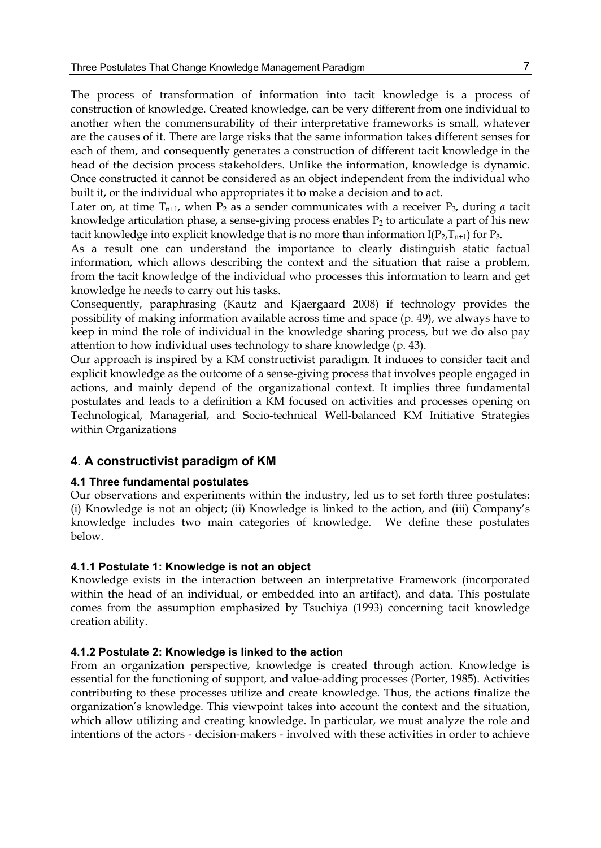The process of transformation of information into tacit knowledge is a process of construction of knowledge. Created knowledge, can be very different from one individual to another when the commensurability of their interpretative frameworks is small, whatever are the causes of it. There are large risks that the same information takes different senses for each of them, and consequently generates a construction of different tacit knowledge in the head of the decision process stakeholders. Unlike the information, knowledge is dynamic. Once constructed it cannot be considered as an object independent from the individual who built it, or the individual who appropriates it to make a decision and to act.

Later on, at time  $T_{n+1}$ , when  $P_2$  as a sender communicates with a receiver  $P_3$ , during *a* tacit knowledge articulation phase, a sense-giving process enables P<sub>2</sub> to articulate a part of his new tacit knowledge into explicit knowledge that is no more than information  $I(P_2,T_{n+1})$  for  $P_3$ .

As a result one can understand the importance to clearly distinguish static factual information, which allows describing the context and the situation that raise a problem, from the tacit knowledge of the individual who processes this information to learn and get knowledge he needs to carry out his tasks.

Consequently, paraphrasing (Kautz and Kjaergaard 2008) if technology provides the possibility of making information available across time and space (p. 49), we always have to keep in mind the role of individual in the knowledge sharing process, but we do also pay attention to how individual uses technology to share knowledge (p. 43).

Our approach is inspired by a KM constructivist paradigm. It induces to consider tacit and explicit knowledge as the outcome of a sense-giving process that involves people engaged in actions, and mainly depend of the organizational context. It implies three fundamental postulates and leads to a definition a KM focused on activities and processes opening on Technological, Managerial, and Socio-technical Well-balanced KM Initiative Strategies within Organizations

#### **4. A constructivist paradigm of KM**

#### **4.1 Three fundamental postulates**

Our observations and experiments within the industry, led us to set forth three postulates: (i) Knowledge is not an object; (ii) Knowledge is linked to the action, and (iii) Company's knowledge includes two main categories of knowledge. We define these postulates below.

#### **4.1.1 Postulate 1: Knowledge is not an object**

Knowledge exists in the interaction between an interpretative Framework (incorporated within the head of an individual, or embedded into an artifact), and data. This postulate comes from the assumption emphasized by Tsuchiya (1993) concerning tacit knowledge creation ability.

#### **4.1.2 Postulate 2: Knowledge is linked to the action**

From an organization perspective, knowledge is created through action. Knowledge is essential for the functioning of support, and value-adding processes (Porter, 1985). Activities contributing to these processes utilize and create knowledge. Thus, the actions finalize the organization's knowledge. This viewpoint takes into account the context and the situation, which allow utilizing and creating knowledge. In particular, we must analyze the role and intentions of the actors - decision-makers - involved with these activities in order to achieve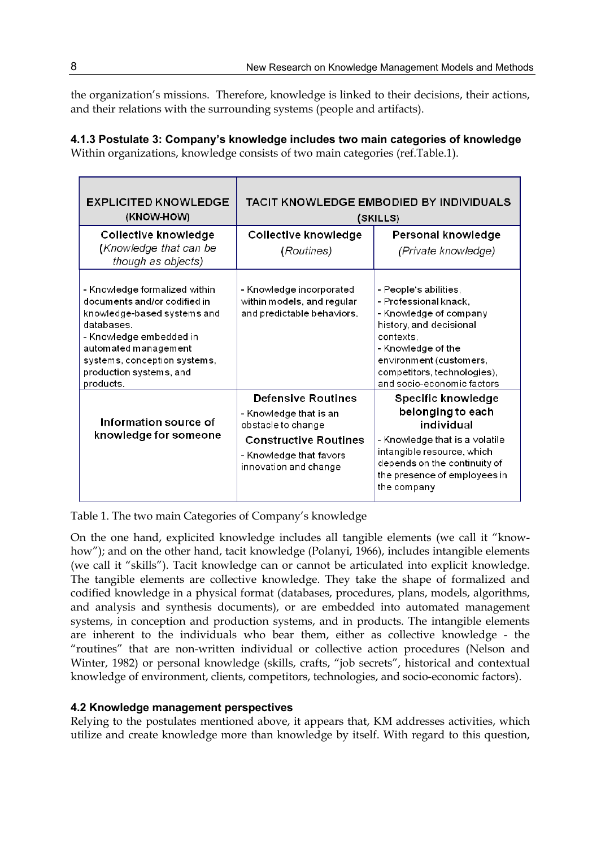the organization's missions. Therefore, knowledge is linked to their decisions, their actions, and their relations with the surrounding systems (people and artifacts).

#### **4.1.3 Postulate 3: Company's knowledge includes two main categories of knowledge**

Within organizations, knowledge consists of two main categories (ref.Table.1).

| <b>EXPLICITED KNOWLEDGE</b><br>(KNOW-HOW)                                                                                                                                                                                             | TACIT KNOWLEDGE EMBODIED BY INDIVIDUALS<br>(SKILLS)                                                                                                           |                                                                                                                                                                                                                                |
|---------------------------------------------------------------------------------------------------------------------------------------------------------------------------------------------------------------------------------------|---------------------------------------------------------------------------------------------------------------------------------------------------------------|--------------------------------------------------------------------------------------------------------------------------------------------------------------------------------------------------------------------------------|
| Collective knowledge<br>(Knowledge that can be<br>though as objects)                                                                                                                                                                  | Collective knowledge<br>(Routines)                                                                                                                            | Personal knowledge<br>(Private knowledge)                                                                                                                                                                                      |
| - Knowledge formalized within<br>documents and/or codified in<br>knowledge-based systems and<br>databases.<br>- Knowledge embedded in<br>automated management<br>systems, conception systems,<br>production systems, and<br>products. | - Knowledge incorporated<br>within models, and regular<br>and predictable behaviors.                                                                          | - People's abilities.<br>- Professional knack.<br>- Knowledge of company<br>history, and decisional<br>contexts.<br>- Knowledge of the<br>environment (customers,<br>competitors, technologies),<br>and socio-economic factors |
| Information source of<br>knowledge for someone                                                                                                                                                                                        | <b>Defensive Routines</b><br>- Knowledge that is an<br>obstacle to change<br><b>Constructive Routines</b><br>- Knowledge that favors<br>innovation and change | Specific knowledge<br>belonging to each<br>individual<br>- Knowledge that is a volatile<br>intangible resource, which<br>depends on the continuity of<br>the presence of employees in<br>the company                           |

Table 1. The two main Categories of Company's knowledge

On the one hand, explicited knowledge includes all tangible elements (we call it "knowhow"); and on the other hand, tacit knowledge (Polanyi, 1966), includes intangible elements (we call it "skills"). Tacit knowledge can or cannot be articulated into explicit knowledge. The tangible elements are collective knowledge. They take the shape of formalized and codified knowledge in a physical format (databases, procedures, plans, models, algorithms, and analysis and synthesis documents), or are embedded into automated management systems, in conception and production systems, and in products. The intangible elements are inherent to the individuals who bear them, either as collective knowledge - the "routines" that are non-written individual or collective action procedures (Nelson and Winter, 1982) or personal knowledge (skills, crafts, "job secrets", historical and contextual knowledge of environment, clients, competitors, technologies, and socio-economic factors).

#### **4.2 Knowledge management perspectives**

Relying to the postulates mentioned above, it appears that, KM addresses activities, which utilize and create knowledge more than knowledge by itself. With regard to this question,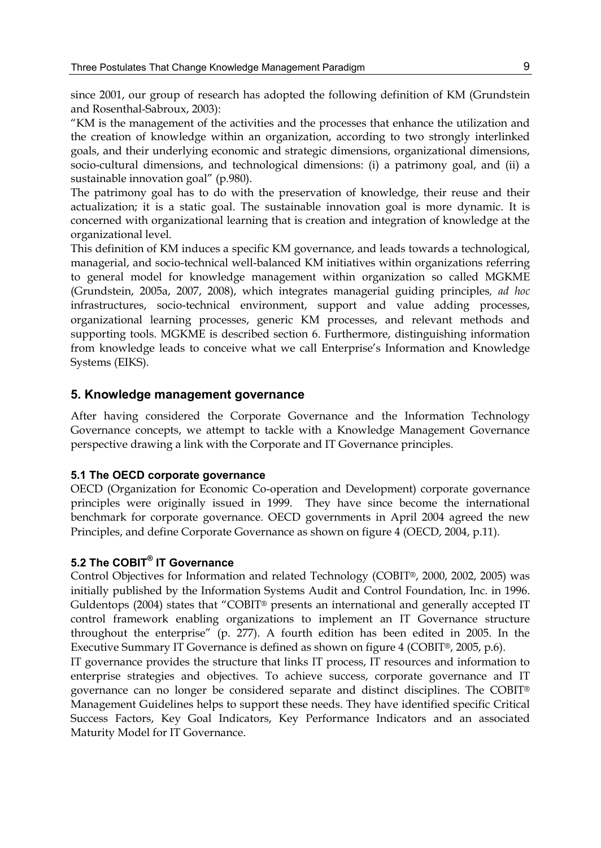since 2001, our group of research has adopted the following definition of KM (Grundstein and Rosenthal-Sabroux, 2003):

"KM is the management of the activities and the processes that enhance the utilization and the creation of knowledge within an organization, according to two strongly interlinked goals, and their underlying economic and strategic dimensions, organizational dimensions, socio-cultural dimensions, and technological dimensions: (i) a patrimony goal, and (ii) a sustainable innovation goal" (p.980).

The patrimony goal has to do with the preservation of knowledge, their reuse and their actualization; it is a static goal. The sustainable innovation goal is more dynamic. It is concerned with organizational learning that is creation and integration of knowledge at the organizational level.

This definition of KM induces a specific KM governance, and leads towards a technological, managerial, and socio-technical well-balanced KM initiatives within organizations referring to general model for knowledge management within organization so called MGKME (Grundstein, 2005a, 2007, 2008), which integrates managerial guiding principles*, ad hoc* infrastructures, socio-technical environment, support and value adding processes, organizational learning processes, generic KM processes, and relevant methods and supporting tools. MGKME is described section 6. Furthermore, distinguishing information from knowledge leads to conceive what we call Enterprise's Information and Knowledge Systems (EIKS).

#### **5. Knowledge management governance**

After having considered the Corporate Governance and the Information Technology Governance concepts, we attempt to tackle with a Knowledge Management Governance perspective drawing a link with the Corporate and IT Governance principles.

#### **5.1 The OECD corporate governance**

OECD (Organization for Economic Co-operation and Development) corporate governance principles were originally issued in 1999. They have since become the international benchmark for corporate governance. OECD governments in April 2004 agreed the new Principles, and define Corporate Governance as shown on figure 4 (OECD, 2004, p.11).

## **5.2 The COBIT® IT Governance**

Control Objectives for Information and related Technology (COBIT®, 2000, 2002, 2005) was initially published by the Information Systems Audit and Control Foundation, Inc. in 1996. Guldentops (2004) states that "COBIT® presents an international and generally accepted IT control framework enabling organizations to implement an IT Governance structure throughout the enterprise" (p. 277). A fourth edition has been edited in 2005. In the Executive Summary IT Governance is defined as shown on figure 4 (COBIT®, 2005, p.6).

IT governance provides the structure that links IT process, IT resources and information to enterprise strategies and objectives. To achieve success, corporate governance and IT governance can no longer be considered separate and distinct disciplines. The COBIT® Management Guidelines helps to support these needs. They have identified specific Critical Success Factors, Key Goal Indicators, Key Performance Indicators and an associated Maturity Model for IT Governance.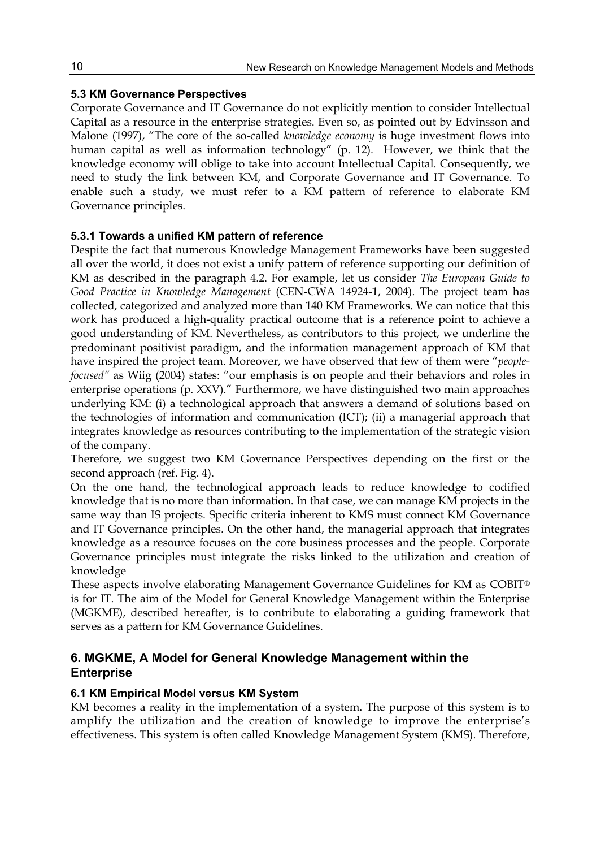## **5.3 KM Governance Perspectives**

Corporate Governance and IT Governance do not explicitly mention to consider Intellectual Capital as a resource in the enterprise strategies. Even so, as pointed out by Edvinsson and Malone (1997), "The core of the so-called *knowledge economy* is huge investment flows into human capital as well as information technology" (p. 12). However, we think that the knowledge economy will oblige to take into account Intellectual Capital. Consequently, we need to study the link between KM, and Corporate Governance and IT Governance. To enable such a study, we must refer to a KM pattern of reference to elaborate KM Governance principles.

# **5.3.1 Towards a unified KM pattern of reference**

Despite the fact that numerous Knowledge Management Frameworks have been suggested all over the world, it does not exist a unify pattern of reference supporting our definition of KM as described in the paragraph 4.2. For example, let us consider *The European Guide to Good Practice in Knowledge Management* (CEN-CWA 14924-1, 2004). The project team has collected, categorized and analyzed more than 140 KM Frameworks. We can notice that this work has produced a high-quality practical outcome that is a reference point to achieve a good understanding of KM. Nevertheless, as contributors to this project, we underline the predominant positivist paradigm, and the information management approach of KM that have inspired the project team. Moreover, we have observed that few of them were "*peoplefocused"* as Wiig (2004) states: "our emphasis is on people and their behaviors and roles in enterprise operations (p. XXV)." Furthermore, we have distinguished two main approaches underlying KM: (i) a technological approach that answers a demand of solutions based on the technologies of information and communication (ICT); (ii) a managerial approach that integrates knowledge as resources contributing to the implementation of the strategic vision of the company.

Therefore, we suggest two KM Governance Perspectives depending on the first or the second approach (ref. Fig. 4).

On the one hand, the technological approach leads to reduce knowledge to codified knowledge that is no more than information. In that case, we can manage KM projects in the same way than IS projects. Specific criteria inherent to KMS must connect KM Governance and IT Governance principles. On the other hand, the managerial approach that integrates knowledge as a resource focuses on the core business processes and the people. Corporate Governance principles must integrate the risks linked to the utilization and creation of knowledge

These aspects involve elaborating Management Governance Guidelines for KM as COBIT® is for IT. The aim of the Model for General Knowledge Management within the Enterprise (MGKME), described hereafter, is to contribute to elaborating a guiding framework that serves as a pattern for KM Governance Guidelines.

# **6. MGKME, A Model for General Knowledge Management within the Enterprise**

## **6.1 KM Empirical Model versus KM System**

KM becomes a reality in the implementation of a system. The purpose of this system is to amplify the utilization and the creation of knowledge to improve the enterprise's effectiveness. This system is often called Knowledge Management System (KMS). Therefore,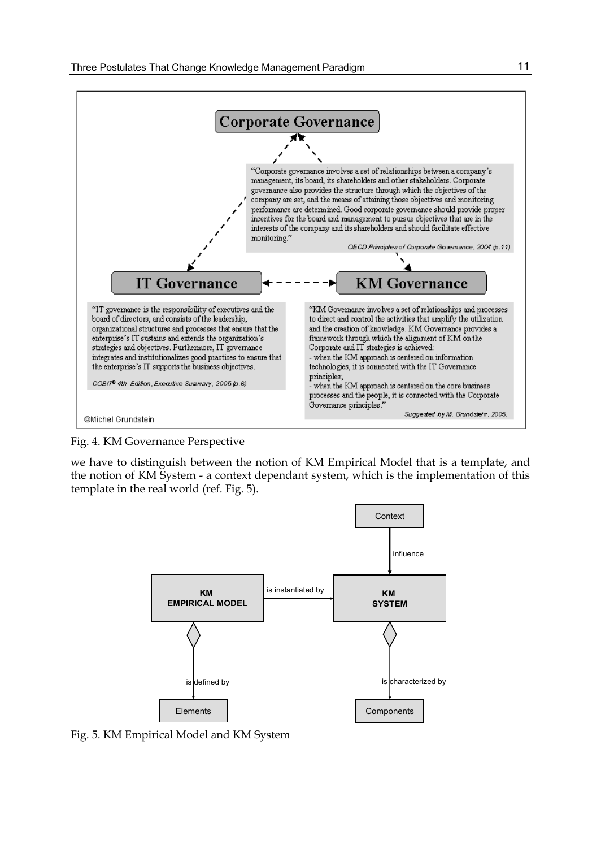

Fig. 4. KM Governance Perspective

we have to distinguish between the notion of KM Empirical Model that is a template, and the notion of KM System - a context dependant system, which is the implementation of this template in the real world (ref. Fig. 5).



Fig. 5. KM Empirical Model and KM System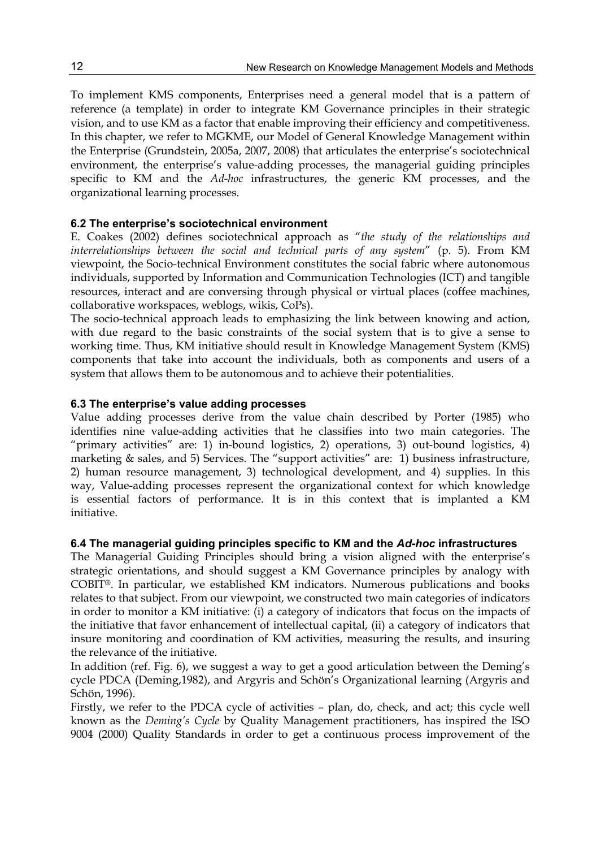To implement KMS components, Enterprises need a general model that is a pattern of reference (a template) in order to integrate KM Governance principles in their strategic vision, and to use KM as a factor that enable improving their efficiency and competitiveness. In this chapter, we refer to MGKME, our Model of General Knowledge Management within the Enterprise (Grundstein, 2005a, 2007, 2008) that articulates the enterprise's sociotechnical environment, the enterprise's value-adding processes, the managerial guiding principles specific to KM and the *Ad-hoc* infrastructures, the generic KM processes, and the organizational learning processes.

#### **6.2 The enterprise's sociotechnical environment**

E. Coakes (2002) defines sociotechnical approach as "*the study of the relationships and interrelationships between the social and technical parts of any system*" (p. 5). From KM viewpoint, the Socio-technical Environment constitutes the social fabric where autonomous individuals, supported by Information and Communication Technologies (ICT) and tangible resources, interact and are conversing through physical or virtual places (coffee machines, collaborative workspaces, weblogs, wikis, CoPs).

The socio-technical approach leads to emphasizing the link between knowing and action, with due regard to the basic constraints of the social system that is to give a sense to working time. Thus, KM initiative should result in Knowledge Management System (KMS) components that take into account the individuals, both as components and users of a system that allows them to be autonomous and to achieve their potentialities.

#### **6.3 The enterprise's value adding processes**

Value adding processes derive from the value chain described by Porter (1985) who identifies nine value-adding activities that he classifies into two main categories. The "primary activities" are: 1) in-bound logistics, 2) operations, 3) out-bound logistics, 4) marketing & sales, and 5) Services. The "support activities" are: 1) business infrastructure, 2) human resource management, 3) technological development, and 4) supplies. In this way, Value-adding processes represent the organizational context for which knowledge is essential factors of performance. It is in this context that is implanted a KM initiative.

## **6.4 The managerial guiding principles specific to KM and the** *Ad-hoc* **infrastructures**

The Managerial Guiding Principles should bring a vision aligned with the enterprise's strategic orientations, and should suggest a KM Governance principles by analogy with COBIT®. In particular, we established KM indicators. Numerous publications and books relates to that subject. From our viewpoint, we constructed two main categories of indicators in order to monitor a KM initiative: (i) a category of indicators that focus on the impacts of the initiative that favor enhancement of intellectual capital, (ii) a category of indicators that insure monitoring and coordination of KM activities, measuring the results, and insuring the relevance of the initiative.

In addition (ref. Fig. 6), we suggest a way to get a good articulation between the Deming's cycle PDCA (Deming,1982), and Argyris and Schön's Organizational learning (Argyris and Schön, 1996).

Firstly, we refer to the PDCA cycle of activities – plan, do, check, and act; this cycle well known as the *Deming's Cycle* by Quality Management practitioners, has inspired the ISO 9004 (2000) Quality Standards in order to get a continuous process improvement of the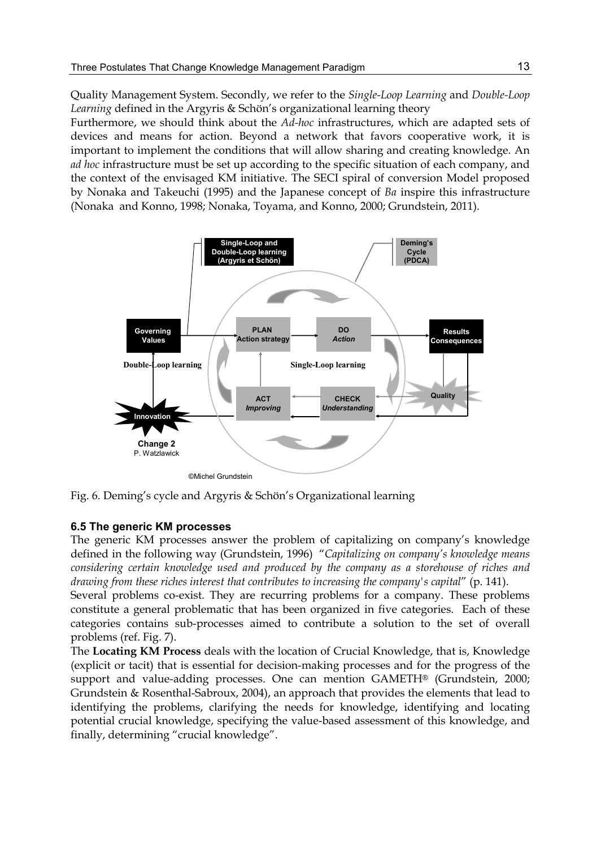Quality Management System. Secondly, we refer to the *Single-Loop Learning* and *Double-Loop Learning* defined in the Argyris & Schön's organizational learning theory

Furthermore, we should think about the *Ad-hoc* infrastructures, which are adapted sets of devices and means for action. Beyond a network that favors cooperative work, it is important to implement the conditions that will allow sharing and creating knowledge. An *ad hoc* infrastructure must be set up according to the specific situation of each company, and the context of the envisaged KM initiative. The SECI spiral of conversion Model proposed by Nonaka and Takeuchi (1995) and the Japanese concept of *Ba* inspire this infrastructure (Nonaka and Konno, 1998; Nonaka, Toyama, and Konno, 2000; Grundstein, 2011).



Fig. 6. Deming's cycle and Argyris & Schön's Organizational learning

#### **6.5 The generic KM processes**

The generic KM processes answer the problem of capitalizing on company's knowledge defined in the following way (Grundstein, 1996) "*Capitalizing on company's knowledge means considering certain knowledge used and produced by the company as a storehouse of riches and drawing from these riches interest that contributes to increasing the company's capital*" (p. 141).

Several problems co-exist. They are recurring problems for a company. These problems constitute a general problematic that has been organized in five categories. Each of these categories contains sub-processes aimed to contribute a solution to the set of overall problems (ref. Fig. 7).

The **Locating KM Process** deals with the location of Crucial Knowledge, that is, Knowledge (explicit or tacit) that is essential for decision-making processes and for the progress of the support and value-adding processes. One can mention GAMETH® (Grundstein, 2000; Grundstein & Rosenthal-Sabroux, 2004), an approach that provides the elements that lead to identifying the problems, clarifying the needs for knowledge, identifying and locating potential crucial knowledge, specifying the value-based assessment of this knowledge, and finally, determining "crucial knowledge".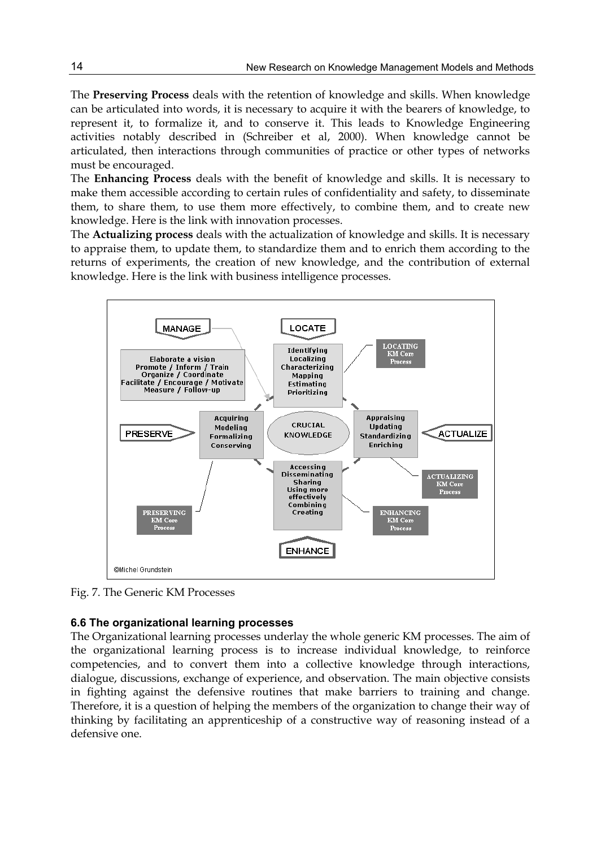The **Preserving Process** deals with the retention of knowledge and skills. When knowledge can be articulated into words, it is necessary to acquire it with the bearers of knowledge, to represent it, to formalize it, and to conserve it. This leads to Knowledge Engineering activities notably described in (Schreiber et al, 2000). When knowledge cannot be articulated, then interactions through communities of practice or other types of networks must be encouraged.

The **Enhancing Process** deals with the benefit of knowledge and skills. It is necessary to make them accessible according to certain rules of confidentiality and safety, to disseminate them, to share them, to use them more effectively, to combine them, and to create new knowledge. Here is the link with innovation processes.

The **Actualizing process** deals with the actualization of knowledge and skills. It is necessary to appraise them, to update them, to standardize them and to enrich them according to the returns of experiments, the creation of new knowledge, and the contribution of external knowledge. Here is the link with business intelligence processes.



Fig. 7. The Generic KM Processes

## **6.6 The organizational learning processes**

The Organizational learning processes underlay the whole generic KM processes. The aim of the organizational learning process is to increase individual knowledge, to reinforce competencies, and to convert them into a collective knowledge through interactions, dialogue, discussions, exchange of experience, and observation. The main objective consists in fighting against the defensive routines that make barriers to training and change. Therefore, it is a question of helping the members of the organization to change their way of thinking by facilitating an apprenticeship of a constructive way of reasoning instead of a defensive one.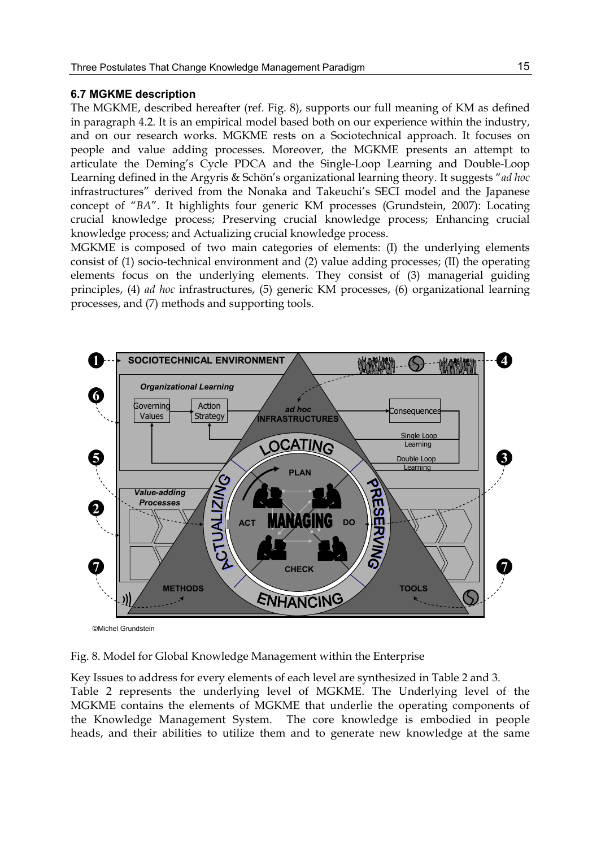#### **6.7 MGKME description**

The MGKME, described hereafter (ref. Fig. 8), supports our full meaning of KM as defined in paragraph 4.2. It is an empirical model based both on our experience within the industry, and on our research works. MGKME rests on a Sociotechnical approach. It focuses on people and value adding processes. Moreover, the MGKME presents an attempt to articulate the Deming's Cycle PDCA and the Single-Loop Learning and Double-Loop Learning defined in the Argyris & Schön's organizational learning theory. It suggests "*ad hoc* infrastructures" derived from the Nonaka and Takeuchi's SECI model and the Japanese concept of "*BA*". It highlights four generic KM processes (Grundstein, 2007): Locating crucial knowledge process; Preserving crucial knowledge process; Enhancing crucial knowledge process; and Actualizing crucial knowledge process.

MGKME is composed of two main categories of elements: (I) the underlying elements consist of (1) socio-technical environment and (2) value adding processes; (II) the operating elements focus on the underlying elements. They consist of (3) managerial guiding principles, (4) *ad hoc* infrastructures, (5) generic KM processes, (6) organizational learning processes, and (7) methods and supporting tools.



<sup>©</sup>Michel Grundstein

Fig. 8. Model for Global Knowledge Management within the Enterprise

Key Issues to address for every elements of each level are synthesized in Table 2 and 3. Table 2 represents the underlying level of MGKME. The Underlying level of the MGKME contains the elements of MGKME that underlie the operating components of the Knowledge Management System. The core knowledge is embodied in people heads, and their abilities to utilize them and to generate new knowledge at the same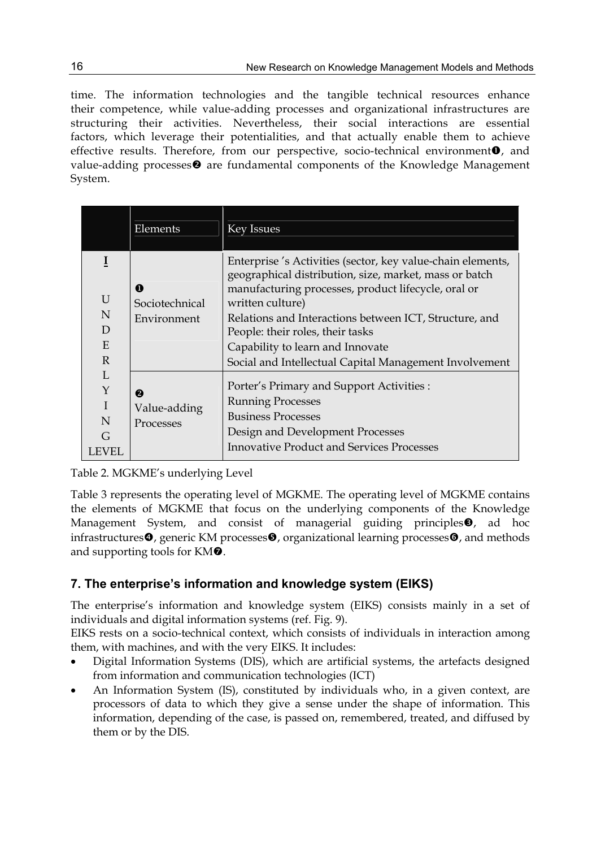time. The information technologies and the tangible technical resources enhance their competence, while value-adding processes and organizational infrastructures are structuring their activities. Nevertheless, their social interactions are essential factors, which leverage their potentialities, and that actually enable them to achieve effective results. Therefore, from our perspective, socio-technical environment $\mathbf{0}$ , and value-adding processes<sup>2</sup> are fundamental components of the Knowledge Management System.

|                                                                                      | Elements                           | Key Issues                                                                                                                                                                                                                                                                                                                                                                                  |
|--------------------------------------------------------------------------------------|------------------------------------|---------------------------------------------------------------------------------------------------------------------------------------------------------------------------------------------------------------------------------------------------------------------------------------------------------------------------------------------------------------------------------------------|
| Ī<br>U<br>N<br>D<br>E<br>$\mathbb{R}$<br>$\mathbf{I}$ .<br>Y<br>I<br>N<br>G<br>LEVEL | o<br>Sociotechnical<br>Environment | Enterprise's Activities (sector, key value-chain elements,<br>geographical distribution, size, market, mass or batch<br>manufacturing processes, product lifecycle, oral or<br>written culture)<br>Relations and Interactions between ICT, Structure, and<br>People: their roles, their tasks<br>Capability to learn and Innovate<br>Social and Intellectual Capital Management Involvement |
|                                                                                      | ❷<br>Value-adding<br>Processes     | Porter's Primary and Support Activities :<br><b>Running Processes</b><br><b>Business Processes</b><br>Design and Development Processes<br><b>Innovative Product and Services Processes</b>                                                                                                                                                                                                  |

## Table 2. MGKME's underlying Level

Table 3 represents the operating level of MGKME. The operating level of MGKME contains the elements of MGKME that focus on the underlying components of the Knowledge Management System, and consist of managerial guiding principles<sup>®</sup>, ad hoc infrastructures $\boldsymbol{\Theta}$ , generic KM processes $\boldsymbol{\Theta}$ , organizational learning processes $\boldsymbol{\Theta}$ , and methods and supporting tools for  $KM\mathbf{0}$ .

# **7. The enterprise's information and knowledge system (EIKS)**

The enterprise's information and knowledge system (EIKS) consists mainly in a set of individuals and digital information systems (ref. Fig. 9).

EIKS rests on a socio-technical context, which consists of individuals in interaction among them, with machines, and with the very EIKS. It includes:

- Digital Information Systems (DIS), which are artificial systems, the artefacts designed from information and communication technologies (ICT)
- An Information System (IS), constituted by individuals who, in a given context, are processors of data to which they give a sense under the shape of information. This information, depending of the case, is passed on, remembered, treated, and diffused by them or by the DIS.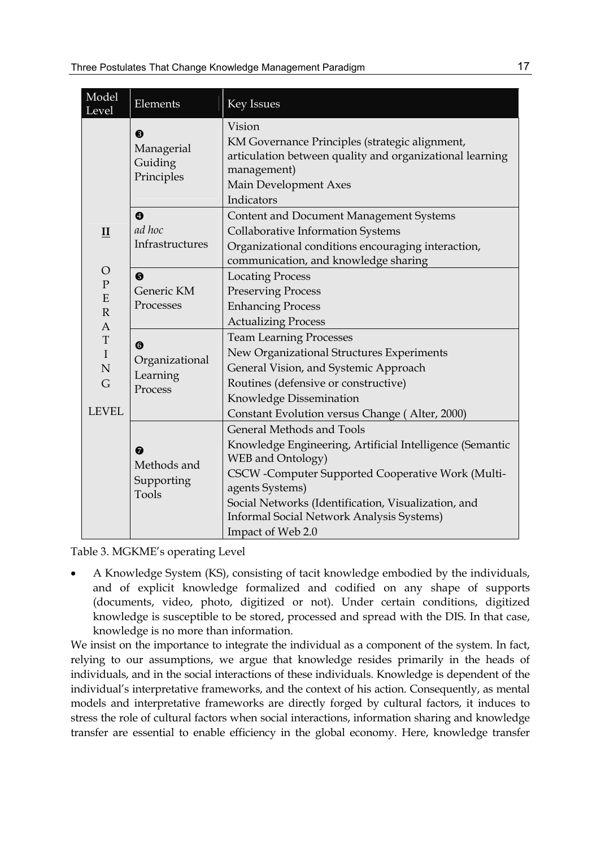| Model<br>Level                                                                                        | Elements                                             | <b>Key Issues</b>                                                                                                                                                                                                                                                                                                  |
|-------------------------------------------------------------------------------------------------------|------------------------------------------------------|--------------------------------------------------------------------------------------------------------------------------------------------------------------------------------------------------------------------------------------------------------------------------------------------------------------------|
| $\mathbf{I}$<br>O<br>${\bf P}$<br>${\bf E}$<br>${\bf R}$<br>A<br>$\mathbf T$<br>I<br>N<br>G<br>LEVEL. | ❸<br>Managerial<br>Guiding<br>Principles             | Vision<br>KM Governance Principles (strategic alignment,<br>articulation between quality and organizational learning<br>management)<br>Main Development Axes<br>Indicators                                                                                                                                         |
|                                                                                                       | $\boldsymbol{\epsilon}$<br>ad hoc<br>Infrastructures | Content and Document Management Systems<br>Collaborative Information Systems<br>Organizational conditions encouraging interaction,<br>communication, and knowledge sharing                                                                                                                                         |
|                                                                                                       | $\boldsymbol{\Theta}$<br>Generic KM<br>Processes     | <b>Locating Process</b><br><b>Preserving Process</b><br><b>Enhancing Process</b><br><b>Actualizing Process</b>                                                                                                                                                                                                     |
|                                                                                                       | $\bullet$<br>Organizational<br>Learning<br>Process   | <b>Team Learning Processes</b><br>New Organizational Structures Experiments<br>General Vision, and Systemic Approach<br>Routines (defensive or constructive)<br>Knowledge Dissemination<br>Constant Evolution versus Change (Alter, 2000)                                                                          |
|                                                                                                       | ଇ<br>Methods and<br>Supporting<br>Tools              | <b>General Methods and Tools</b><br>Knowledge Engineering, Artificial Intelligence (Semantic<br>WEB and Ontology)<br>CSCW -Computer Supported Cooperative Work (Multi-<br>agents Systems)<br>Social Networks (Identification, Visualization, and<br>Informal Social Network Analysis Systems)<br>Impact of Web 2.0 |

Table 3. MGKME's operating Level

 A Knowledge System (KS), consisting of tacit knowledge embodied by the individuals, and of explicit knowledge formalized and codified on any shape of supports (documents, video, photo, digitized or not). Under certain conditions, digitized knowledge is susceptible to be stored, processed and spread with the DIS. In that case, knowledge is no more than information.

We insist on the importance to integrate the individual as a component of the system. In fact, relying to our assumptions, we argue that knowledge resides primarily in the heads of individuals, and in the social interactions of these individuals. Knowledge is dependent of the individual's interpretative frameworks, and the context of his action. Consequently, as mental models and interpretative frameworks are directly forged by cultural factors, it induces to stress the role of cultural factors when social interactions, information sharing and knowledge transfer are essential to enable efficiency in the global economy. Here, knowledge transfer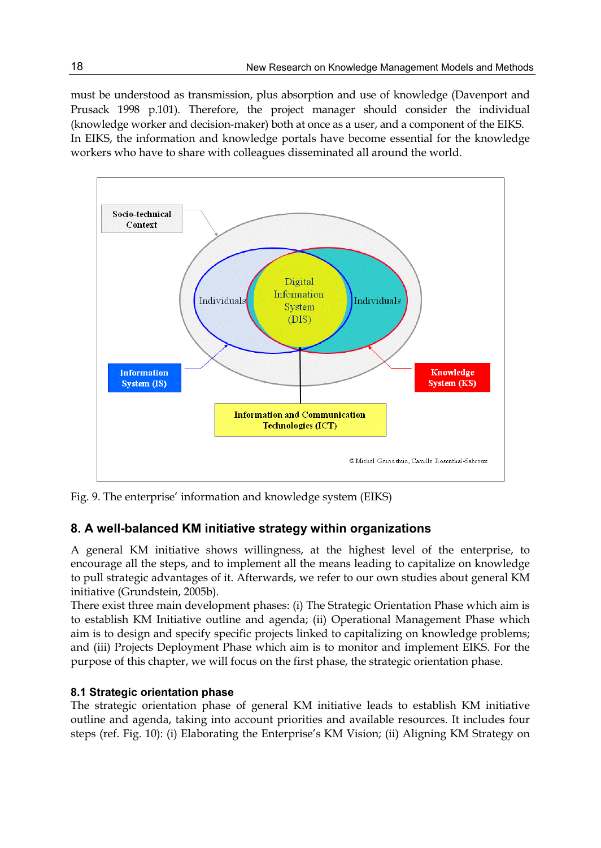must be understood as transmission, plus absorption and use of knowledge (Davenport and Prusack 1998 p.101). Therefore, the project manager should consider the individual (knowledge worker and decision-maker) both at once as a user, and a component of the EIKS. In EIKS, the information and knowledge portals have become essential for the knowledge workers who have to share with colleagues disseminated all around the world.



Fig. 9. The enterprise' information and knowledge system (EIKS)

# **8. A well-balanced KM initiative strategy within organizations**

A general KM initiative shows willingness, at the highest level of the enterprise, to encourage all the steps, and to implement all the means leading to capitalize on knowledge to pull strategic advantages of it. Afterwards, we refer to our own studies about general KM initiative (Grundstein, 2005b).

There exist three main development phases: (i) The Strategic Orientation Phase which aim is to establish KM Initiative outline and agenda; (ii) Operational Management Phase which aim is to design and specify specific projects linked to capitalizing on knowledge problems; and (iii) Projects Deployment Phase which aim is to monitor and implement EIKS. For the purpose of this chapter, we will focus on the first phase, the strategic orientation phase.

## **8.1 Strategic orientation phase**

The strategic orientation phase of general KM initiative leads to establish KM initiative outline and agenda, taking into account priorities and available resources. It includes four steps (ref. Fig. 10): (i) Elaborating the Enterprise's KM Vision; (ii) Aligning KM Strategy on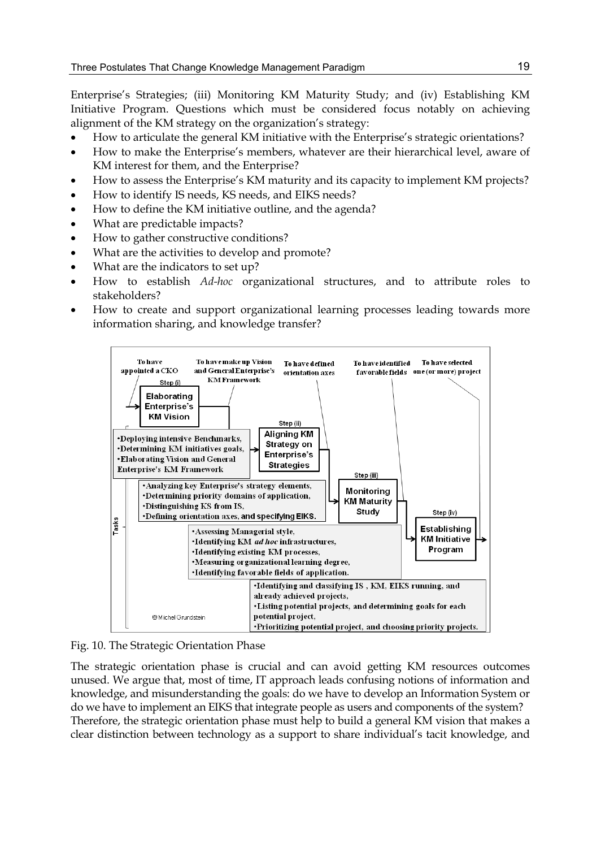Enterprise's Strategies; (iii) Monitoring KM Maturity Study; and (iv) Establishing KM Initiative Program. Questions which must be considered focus notably on achieving alignment of the KM strategy on the organization's strategy:

- How to articulate the general KM initiative with the Enterprise's strategic orientations?
- How to make the Enterprise's members, whatever are their hierarchical level, aware of KM interest for them, and the Enterprise?
- How to assess the Enterprise's KM maturity and its capacity to implement KM projects?
- How to identify IS needs, KS needs, and EIKS needs?
- How to define the KM initiative outline, and the agenda?
- What are predictable impacts?
- How to gather constructive conditions?
- What are the activities to develop and promote?
- What are the indicators to set up?
- How to establish *Ad-hoc* organizational structures, and to attribute roles to stakeholders?
- How to create and support organizational learning processes leading towards more information sharing, and knowledge transfer?



Fig. 10. The Strategic Orientation Phase

The strategic orientation phase is crucial and can avoid getting KM resources outcomes unused. We argue that, most of time, IT approach leads confusing notions of information and knowledge, and misunderstanding the goals: do we have to develop an Information System or do we have to implement an EIKS that integrate people as users and components of the system? Therefore, the strategic orientation phase must help to build a general KM vision that makes a clear distinction between technology as a support to share individual's tacit knowledge, and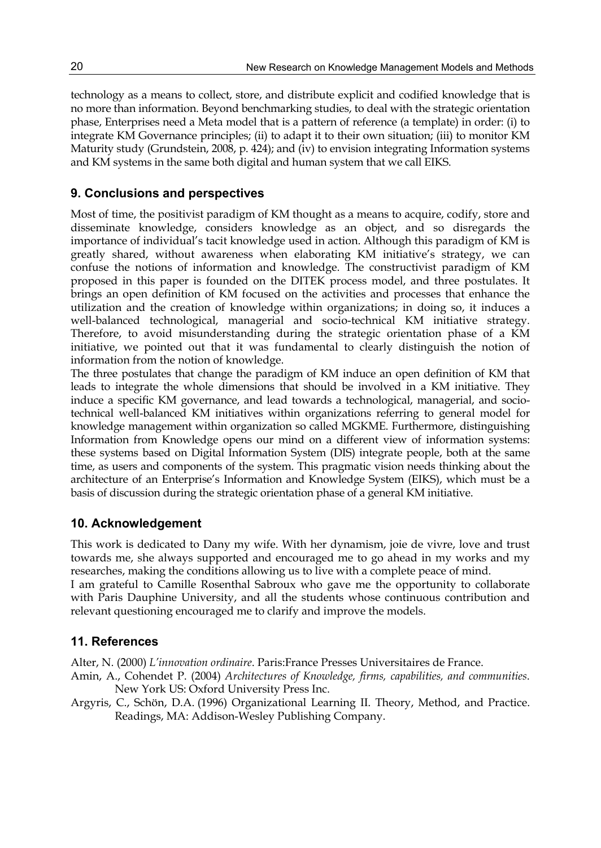technology as a means to collect, store, and distribute explicit and codified knowledge that is no more than information. Beyond benchmarking studies, to deal with the strategic orientation phase, Enterprises need a Meta model that is a pattern of reference (a template) in order: (i) to integrate KM Governance principles; (ii) to adapt it to their own situation; (iii) to monitor KM Maturity study (Grundstein, 2008, p. 424); and (iv) to envision integrating Information systems and KM systems in the same both digital and human system that we call EIKS.

## **9. Conclusions and perspectives**

Most of time, the positivist paradigm of KM thought as a means to acquire, codify, store and disseminate knowledge, considers knowledge as an object, and so disregards the importance of individual's tacit knowledge used in action. Although this paradigm of KM is greatly shared, without awareness when elaborating KM initiative's strategy, we can confuse the notions of information and knowledge. The constructivist paradigm of KM proposed in this paper is founded on the DITEK process model, and three postulates. It brings an open definition of KM focused on the activities and processes that enhance the utilization and the creation of knowledge within organizations; in doing so, it induces a well-balanced technological, managerial and socio-technical KM initiative strategy. Therefore, to avoid misunderstanding during the strategic orientation phase of a KM initiative, we pointed out that it was fundamental to clearly distinguish the notion of information from the notion of knowledge.

The three postulates that change the paradigm of KM induce an open definition of KM that leads to integrate the whole dimensions that should be involved in a KM initiative. They induce a specific KM governance, and lead towards a technological, managerial, and sociotechnical well-balanced KM initiatives within organizations referring to general model for knowledge management within organization so called MGKME. Furthermore, distinguishing Information from Knowledge opens our mind on a different view of information systems: these systems based on Digital Information System (DIS) integrate people, both at the same time, as users and components of the system. This pragmatic vision needs thinking about the architecture of an Enterprise's Information and Knowledge System (EIKS), which must be a basis of discussion during the strategic orientation phase of a general KM initiative.

## **10. Acknowledgement**

This work is dedicated to Dany my wife. With her dynamism, joie de vivre, love and trust towards me, she always supported and encouraged me to go ahead in my works and my researches, making the conditions allowing us to live with a complete peace of mind.

I am grateful to Camille Rosenthal Sabroux who gave me the opportunity to collaborate with Paris Dauphine University, and all the students whose continuous contribution and relevant questioning encouraged me to clarify and improve the models.

# **11. References**

Alter, N. (2000) *L'innovation ordinaire*. Paris:France Presses Universitaires de France.

- Amin, A., Cohendet P. (2004) *Architectures of Knowledge, firms, capabilities, and communities*. New York US: Oxford University Press Inc.
- Argyris, C., Schön, D.A. (1996) Organizational Learning II. Theory, Method, and Practice. Readings, MA: Addison-Wesley Publishing Company.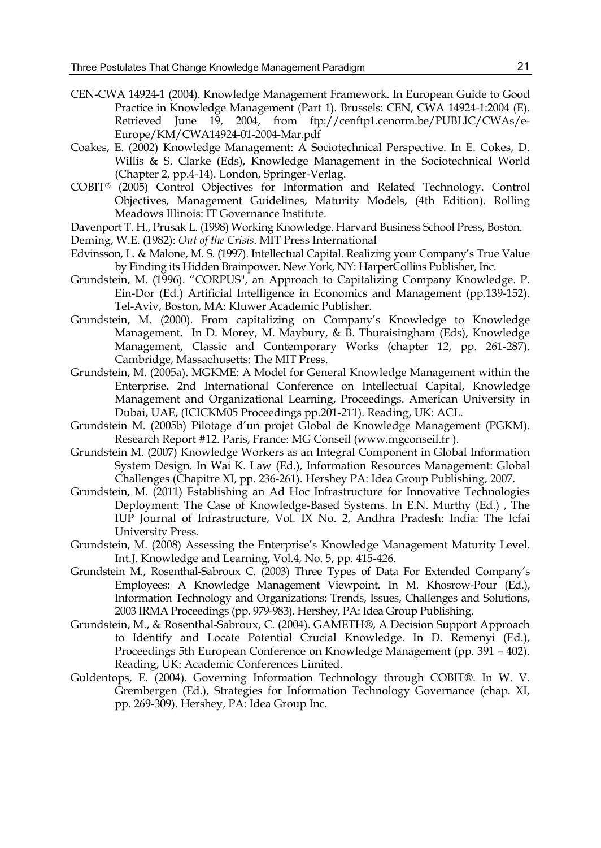- CEN-CWA 14924-1 (2004). Knowledge Management Framework. In European Guide to Good Practice in Knowledge Management (Part 1). Brussels: CEN, CWA 14924-1:2004 (E). Retrieved June 19, 2004, from ftp://cenftp1.cenorm.be/PUBLIC/CWAs/e-Europe/KM/CWA14924-01-2004-Mar.pdf
- Coakes, E. (2002) Knowledge Management: A Sociotechnical Perspective. In E. Cokes, D. Willis & S. Clarke (Eds), Knowledge Management in the Sociotechnical World (Chapter 2, pp.4-14). London, Springer-Verlag.
- COBIT® (2005) Control Objectives for Information and Related Technology. Control Objectives, Management Guidelines, Maturity Models, (4th Edition). Rolling Meadows Illinois: IT Governance Institute.
- Davenport T. H., Prusak L. (1998) Working Knowledge. Harvard Business School Press, Boston.
- Deming, W.E. (1982): *Out of the Crisis*. MIT Press International
- Edvinsson, L. & Malone, M. S. (1997). Intellectual Capital. Realizing your Company's True Value by Finding its Hidden Brainpower. New York, NY: HarperCollins Publisher, Inc.
- Grundstein, M. (1996). "CORPUS", an Approach to Capitalizing Company Knowledge. P. Ein-Dor (Ed.) Artificial Intelligence in Economics and Management (pp.139-152). Tel-Aviv, Boston, MA: Kluwer Academic Publisher.
- Grundstein, M. (2000). From capitalizing on Company's Knowledge to Knowledge Management. In D. Morey, M. Maybury, & B. Thuraisingham (Eds), Knowledge Management, Classic and Contemporary Works (chapter 12, pp. 261-287). Cambridge, Massachusetts: The MIT Press.
- Grundstein, M. (2005a). MGKME: A Model for General Knowledge Management within the Enterprise. 2nd International Conference on Intellectual Capital, Knowledge Management and Organizational Learning, Proceedings. American University in Dubai, UAE, (ICICKM05 Proceedings pp.201-211). Reading, UK: ACL.
- Grundstein M. (2005b) Pilotage d'un projet Global de Knowledge Management (PGKM). Research Report #12. Paris, France: MG Conseil (www.mgconseil.fr ).
- Grundstein M. (2007) Knowledge Workers as an Integral Component in Global Information System Design. In Wai K. Law (Ed.), Information Resources Management: Global Challenges (Chapitre XI, pp. 236-261). Hershey PA: Idea Group Publishing, 2007.
- Grundstein, M. (2011) Establishing an Ad Hoc Infrastructure for Innovative Technologies Deployment: The Case of Knowledge-Based Systems. In E.N. Murthy (Ed.) , The IUP Journal of Infrastructure, Vol. IX No. 2, Andhra Pradesh: India: The Icfai University Press.
- Grundstein, M. (2008) Assessing the Enterprise's Knowledge Management Maturity Level. Int.J. Knowledge and Learning, Vol.4, No. 5, pp. 415-426.
- Grundstein M., Rosenthal-Sabroux C. (2003) Three Types of Data For Extended Company's Employees: A Knowledge Management Viewpoint. In M. Khosrow-Pour (Ed.), Information Technology and Organizations: Trends, Issues, Challenges and Solutions, 2003 IRMA Proceedings (pp. 979-983). Hershey, PA: Idea Group Publishing.
- Grundstein, M., & Rosenthal-Sabroux, C. (2004). GAMETH®, A Decision Support Approach to Identify and Locate Potential Crucial Knowledge. In D. Remenyi (Ed.), Proceedings 5th European Conference on Knowledge Management (pp. 391 – 402). Reading, UK: Academic Conferences Limited.
- Guldentops, E. (2004). Governing Information Technology through COBIT®. In W. V. Grembergen (Ed.), Strategies for Information Technology Governance (chap. XI, pp. 269-309). Hershey, PA: Idea Group Inc.